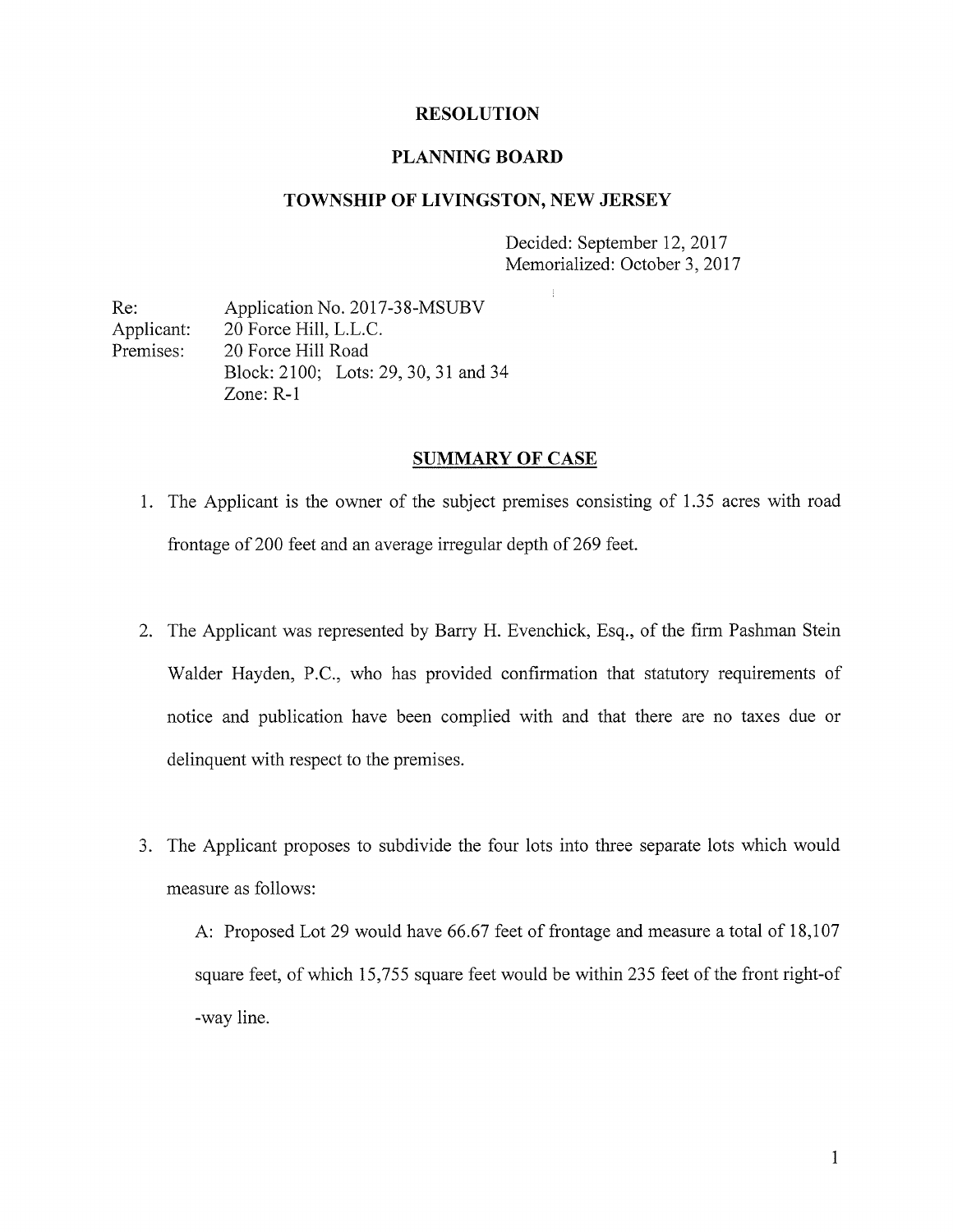#### RESOLUTION

#### PLANNING BOARD

#### TOWNSHIP OF LIVINGSTON, NEW JERSEY

Decided: September 12, 2017 Memorialized: October 3, 2017

Re: Application No. 2017-38-MSUBV Applicant: 20 Force Hill, L.L.C. Premises: 20 Force Hill Road Block: 2100; Lots: 29, 30, 31 and 34 Zone: R-1

#### SUMMARY OF CASE

- 1. The Applicant is the owner of the subject premises consisting of 1.35 acres with road frontage of 200 feet and an average irregular depth of 269 feet.
- 2. The Applicant was represented by Barry H. Evenchick, Esq., of the firm Pashman Stein Walder Hayden, P.C., who has provided confirmation that statutory requirements of notice and publication have been complied with and that there are no taxes due or delinquent with respect to the premises.
- 3. The Applicant proposes to subdivide the four lots into three separate lots which would measure as follows:

A: Proposed Lot 29 would have 66.67 feet of frontage and measure a total of 18,107 square feet, of which 15,755 square feet would be within 235 feet of the front right-of -way line.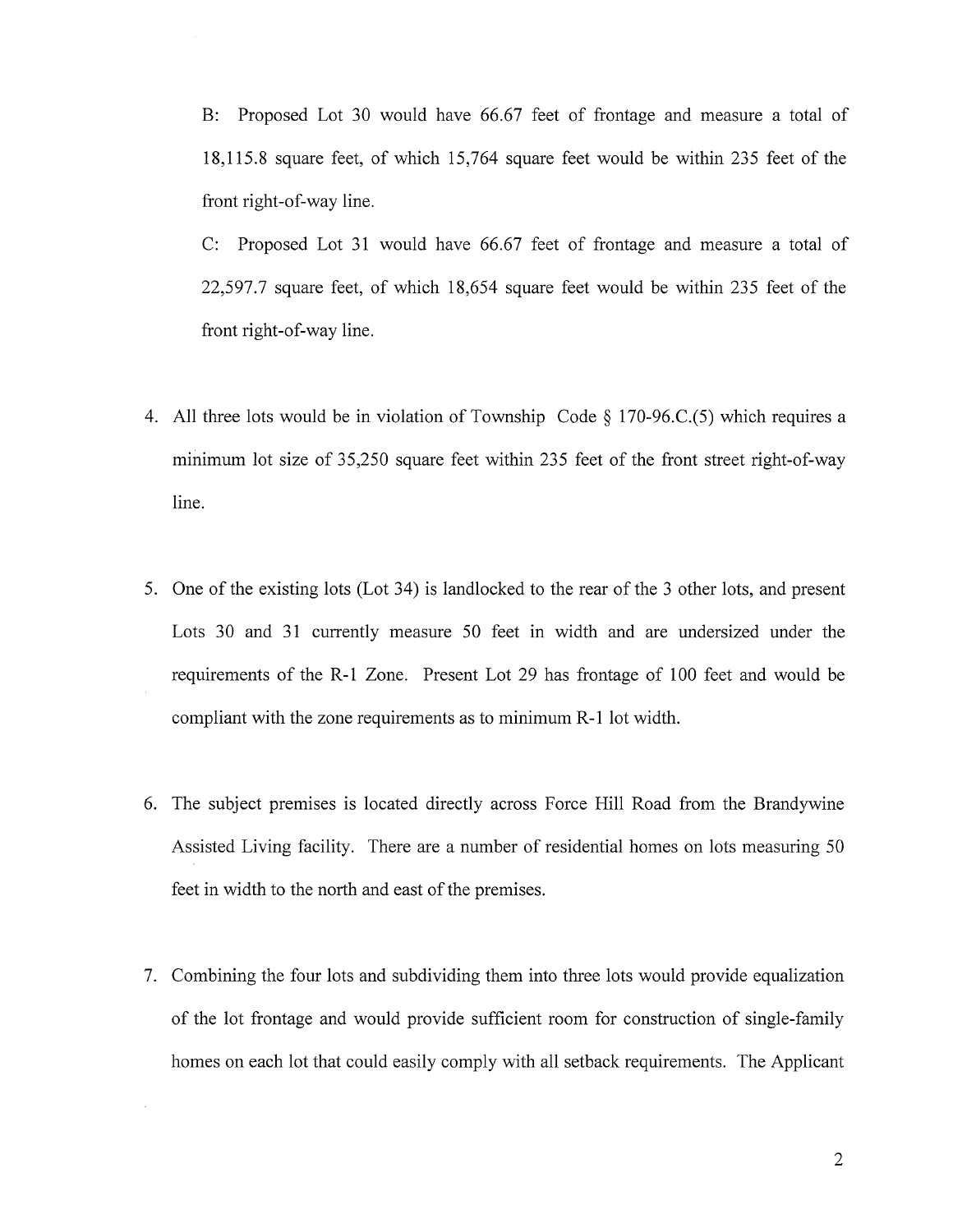B: Proposed Lot 30 would have 66.67 feet of frontage and measure <sup>a</sup> total of 18,1 15.8 square feet, of which 15,764 square feet would be within 235 feet of the front right-of-way line.

C: Proposed Lot <sup>31</sup> would have 66.67 feet of frontage and measure a total of 22,597.7 square feet, of which 18,654 square feet would be within 235 feet of the front right-of-way line.

- 4. All three lots would be in violation of Township Code § <sup>1</sup> 70-96.C.(5) which requires <sup>a</sup> minimum lot size of 35,250 square feet within 235 feet of the front street right-of-way line.
- 5. One of the existing lots (Lot 34) is landlocked to the rear of the <sup>3</sup> other lots, and present Lots 30 and 31 currently measure 50 feet in width and are undersized under the requirements of the R-1 Zone. Present Lot 29 has frontage of 100 feet and would be compliant with the zone requirements as to minimum R-1 lot width.
- 6. The subject premises is located directly across Force Hill Road from the Brandywine Assisted Living facility. There are a number of residential homes on lots measuring 50 feet in width to the north and east of the premises.
- 7. Combining the four lots and subdividing them into three lots would provide equalization of the lot frontage and would provide sufficient room for construction of single-family homes on each lot that could easily comply with all setback requirements. The Applicant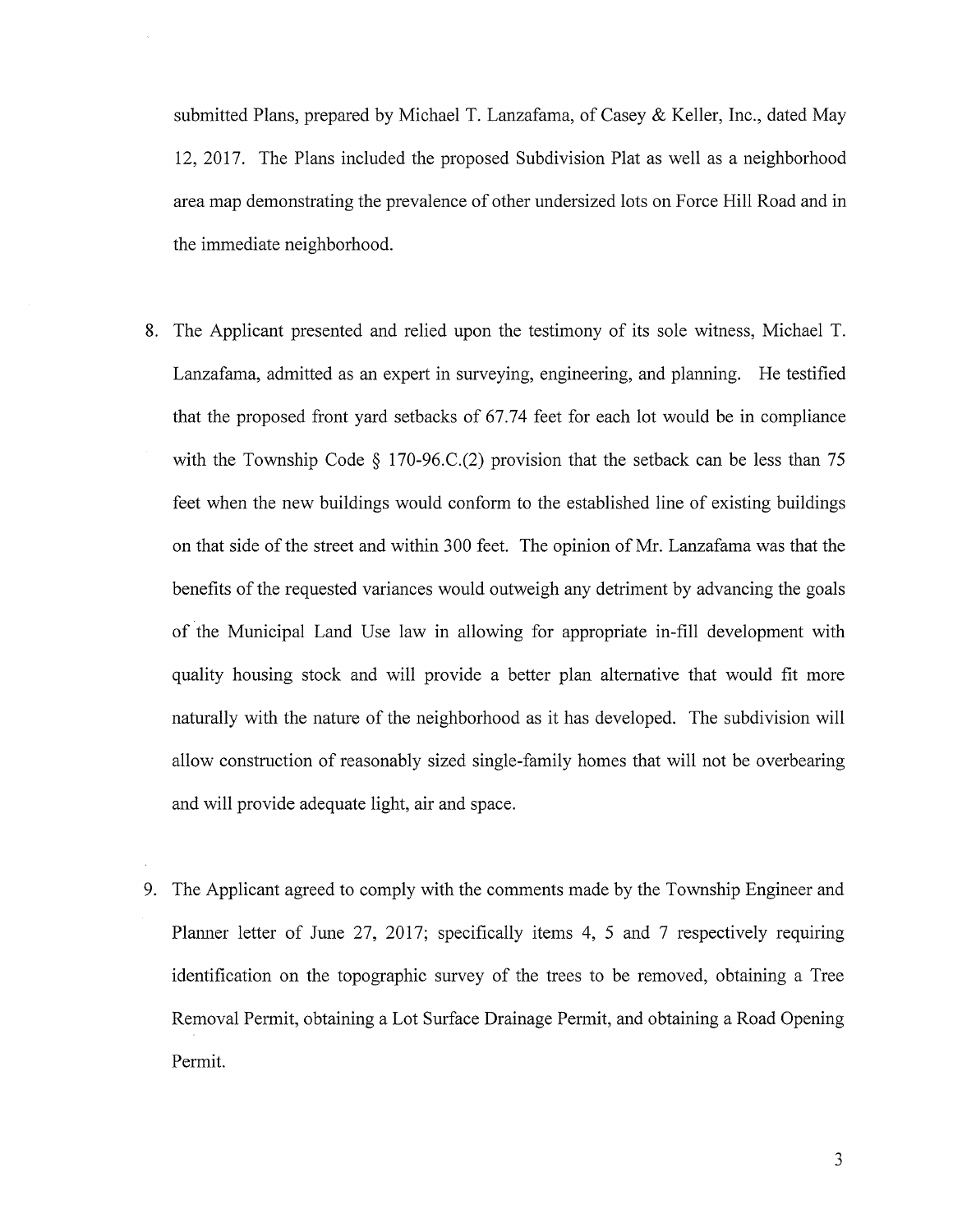submitted Plans, prepared by Michael T. Lanzafama, of Casey & Keller, Inc., dated May 12, 2017. The Plans included the proposed Subdivision Plat as well as a neighborhood area map demonstrating the prevalence of other undersized lots on Force Hill Road and in the immediate neighborhood.

- 8. The Applicant presented and relied upon the testimony of its sole witness, Michael T. Lanzafama, admitted as an expert in surveying, engineering, and planning. He testified that the proposed front yard setbacks of 67.74 feet for each lot would be in compliance with the Township Code  $\S$  170-96.C.(2) provision that the setback can be less than 75 feet when the new buildings would conform to the established line of existing buildings on that side of the street and within 300 feet. The opinion of Mr. Lanzafama was that the benefits of the requested variances would outweigh any detriment by advancing the goals of the Municipal Land Use law in allowing for appropriate in-fill development with quality housing stock and will provide <sup>a</sup> better plan alternative that would fit more naturally with the nature of the neighborhood as it has developed. The subdivision will allow construction of reasonably sized single-family homes that will not be overbearing and will provide adequate light, air and space.
- 9. The Applicant agreed to comply with the comments made by the Township Engineer and Planner letter of June 27, 2017; specifically items 4, <sup>5</sup> and <sup>7</sup> respectively requiring identification on the topographic survey of the trees to be removed, obtaining <sup>a</sup> Tree Removal Permit, obtaining a Lot Surface Drainage Permit, and obtaining a Road Opening Permit.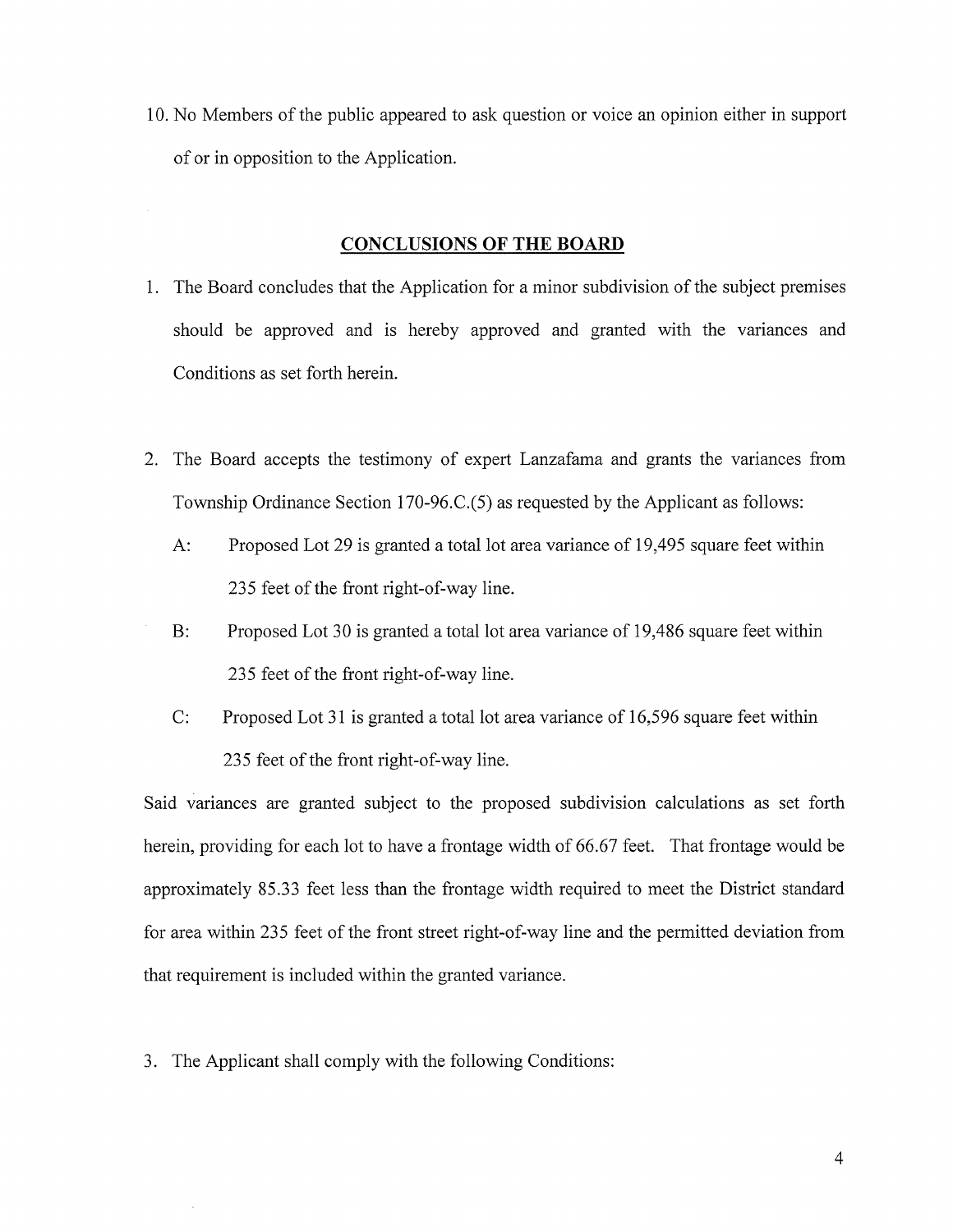10. No Members of the public appeared to ask question or voice an opinion either in support of or in opposition to the Application.

#### CONCLUSIONS OF THE BOARD

- 1. The Board concludes that the Application for <sup>a</sup> minor subdivision of the subject premises should be approved and is hereby approved and granted with the variances and Conditions as set forth herein.
- 2. The Board accepts the testimony of expert Lanzafama and grants the variances from Township Ordinance Section 170-96.C.(5) as requested by the Applicant as follows:
	- A: Proposed Lot 29 is granted <sup>a</sup> total lot area variance of 19,495 square feet within 235 feet of the front right-of-way line.
	- B: Proposed Lot 30 is granted <sup>a</sup> total lot area variance of 19,486 square feet within 235 feet of the front right-of-way line.
	- C: Proposed Lot <sup>31</sup> is granted a total lot area variance of 16,596 square feet within 235 feet of the front right-of-way line.

Said variances are granted subject to the proposed subdivision calculations as set forth herein, providing for each lot to have <sup>a</sup> frontage width of 66.67 feet. That frontage would be approximately 85.33 feet less than the frontage width required to meet the District standard for area within 235 feet of the front street right-of-way line and the permitted deviation from that requirement is included within the granted variance.

3. The Applicant shall comply with the following Conditions: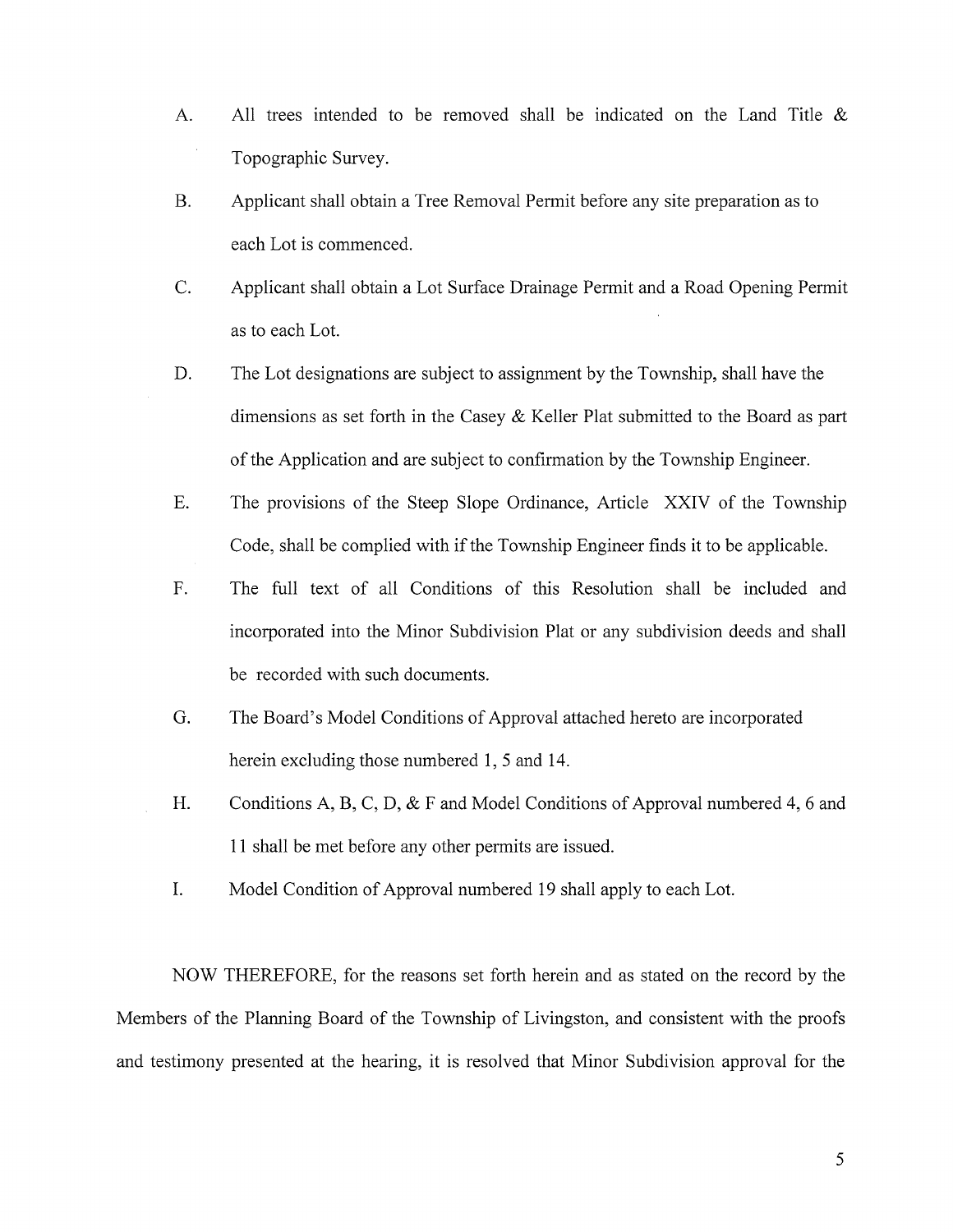- A. All trees intended to be removed shall be indicated on the Land Title & Topographic Survey.
- B. Applicant shall obtain a Tree Removal Permit before any site preparation as to each Lot is commenced.
- C. Applicant shall obtain a Lot Surface Drainage Permit and a Road Opening Permit as to each Lot.
- D. The Lot designations are subject to assignment by the Township, shall have the dimensions as set forth in the Casey & Keller Plat submitted to the Board as part of the Application and are subject to confirmation by the Township Engineer.
- E. The provisions of the Steep Slope Ordinance, Article XXIV of the Township Code, shall be complied with if the Township Engineer finds it to be applicable.
- F. The full text of all Conditions of this Resolution shall be included and incorporated into the Minor Subdivision Plat or any subdivision deeds and shall be recorded with such documents.
- G. The Board's Model Conditions of Approval attached hereto are incorporated herein excluding those numbered 1, 5 and 14.
- H. Conditions A, B, C, D, & F and Model Conditions of Approval numbered 4, <sup>6</sup> and 11 shall be met before any other permits are issued.
- I. Model Condition of Approval numbered 19 shall apply to each Lot.

NOW THEREFORE, for the reasons set forth herein and as stated on the record by the Members of the Planning Board of the Township of Livingston, and consistent with the proofs and testimony presented at the hearing, it is resolved that Minor Subdivision approval for the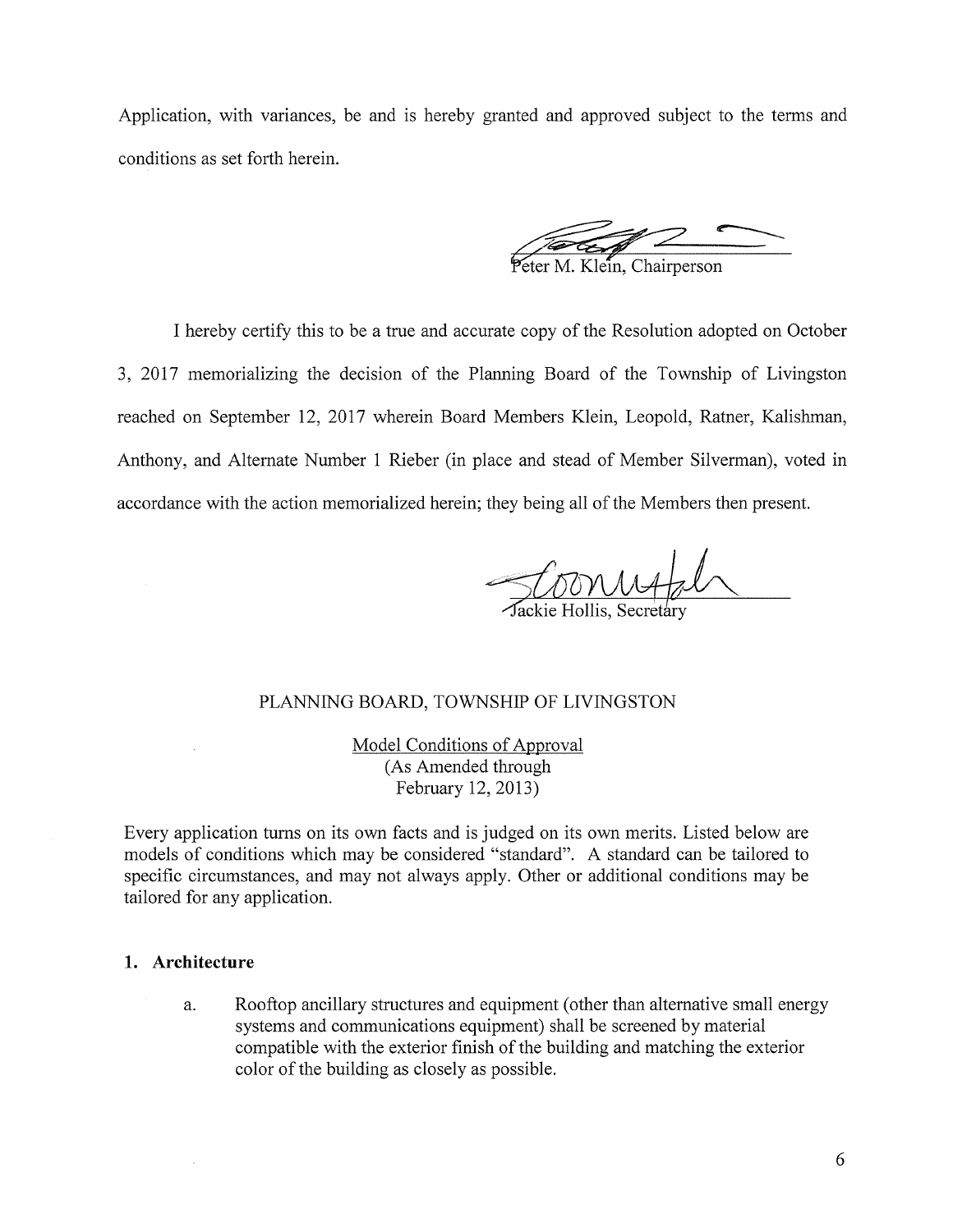Application, with variances, be and is hereby granted and approved subject to the terms and conditions as set forth herein.

**For Construction** 

I hereby certify this to be a true and accurate copy of the Resolution adopted on October 3, 2017 memorializing the decision of the Planning Board of the Township of Livingston reached on September 12, 2017 wherein Board Members Klein, Leopold, Ratner, Kalishman, Anthony, and Alternate Number <sup>1</sup> Rieber (in place and stead of Member Silverman), voted in accordance with the action memorialized herein; they being all of the Members then present.

Jackie Hollis, Secretary

#### PLANNING BOARD, TOWNSHIP OF LIVINGSTON

Model Conditions of Approval (As Amended through February 12, 2013)

Every application turns on its own facts and is judged on its own merits. Listed below are models of conditions which may be considered "standard". A standard can be tailored to specific circumstances, and may not always apply. Other or additional conditions may be tailored for any application.

#### 1. Architecture

a. Rooftop ancillary structures and equipment (other than alternative small energy systems and communications equipment) shall be screened by material compatible with the exterior finish of the building and matching the exterior color of the building as closely as possible.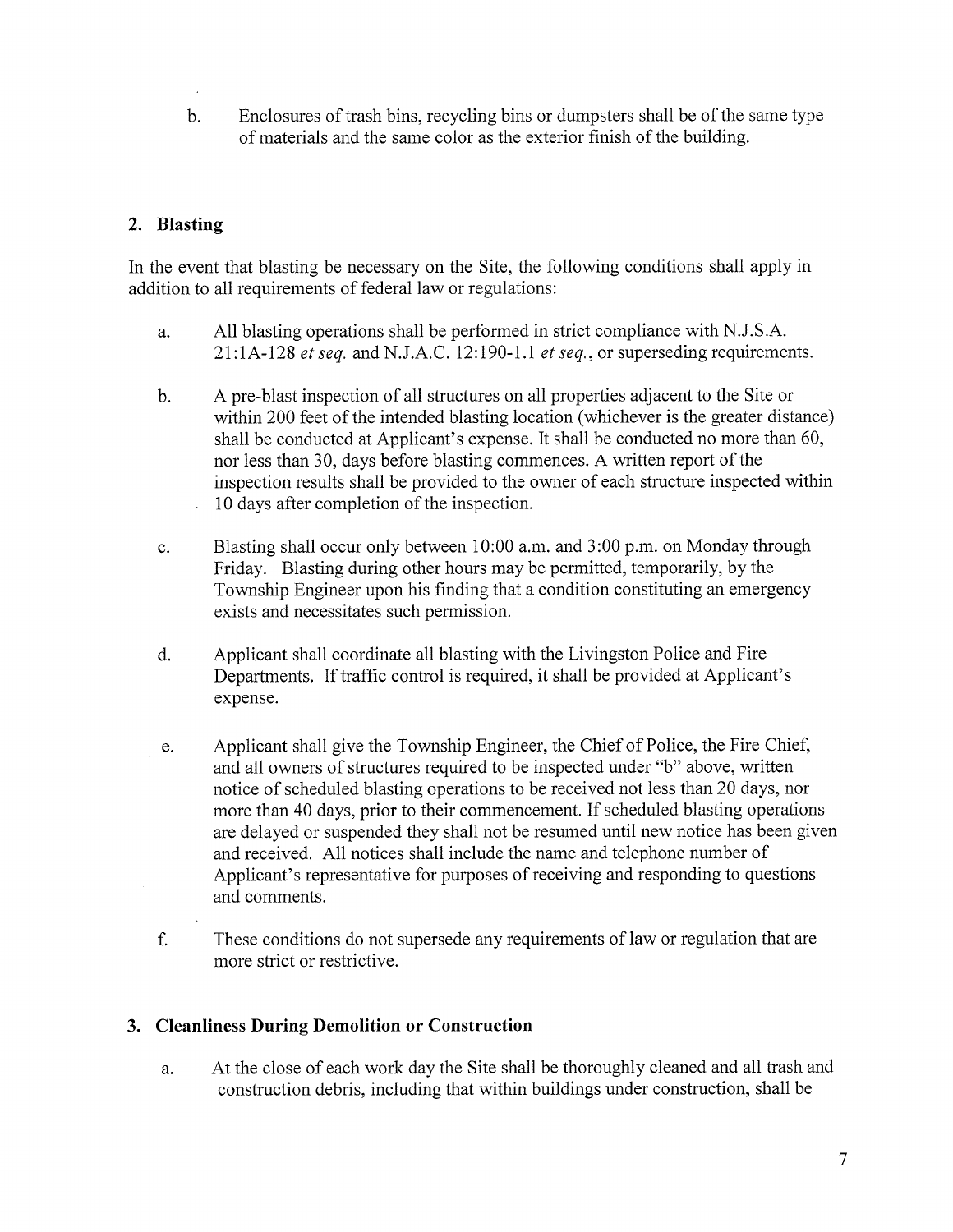b. Enclosures of trash bins, recycling bins or dumpsters shall be of the same type of materials and the same color as the exterior finish of the building.

## 2. Blasting

In the event that blasting be necessary on the Site, the following conditions shall apply in addition to all requirements of federal law or regulations:

- a. All blasting operations shall be performed in strict compliance with N.J.S.A. 21:1A-128 et seq. and N.J.A.C. 12:190-1.1 et seq., or superseding requirements.
- b. A pre-blast inspection of all structures on all properties adjacent to the Site or within 200 feet of the intended blasting location (whichever is the greater distance) shall be conducted at Applicant's expense. It shall be conducted no more than 60, nor less than 30, days before blasting commences. A written report of the inspection results shall be provided to the owner of each structure inspected within <sup>10</sup> days after completion of the inspection.
- c. Blasting shall occur only between 10:00 a.m. and 3:00 p.m. on Monday through Friday. Blasting during other hours may be permitted, temporarily, by the Township Engineer upon his finding that a condition constituting an emergency exists and necessitates such permission.
- d. Applicant shall coordinate all blasting with the Livingston Police and Fire Departments. If traffic control is required, it shall be provided at Applicant's expense.
- e. Applicant shall give the Township Engineer, the Chief of Police, the Fire Chief, and all owners of structures required to be inspected under "b" above, written notice of scheduled blasting operations to be received not less than 20 days, nor more than <sup>40</sup> days, prior to their commencement. If scheduled blasting operations are delayed or suspended they shall not be resumed until new notice has been given and received. All notices shall include the name and telephone number of Applicant's representative for purposes of receiving and responding to questions and comments.
- f. These conditions do not supersede any requirements of law or regulation that are more strict or restrictive.

### 3. Cleanliness During Demolition or Construction

a. At the close of each work day the Site shall be thoroughly cleaned and all trash and construction debris, including that within buildings under construction, shall be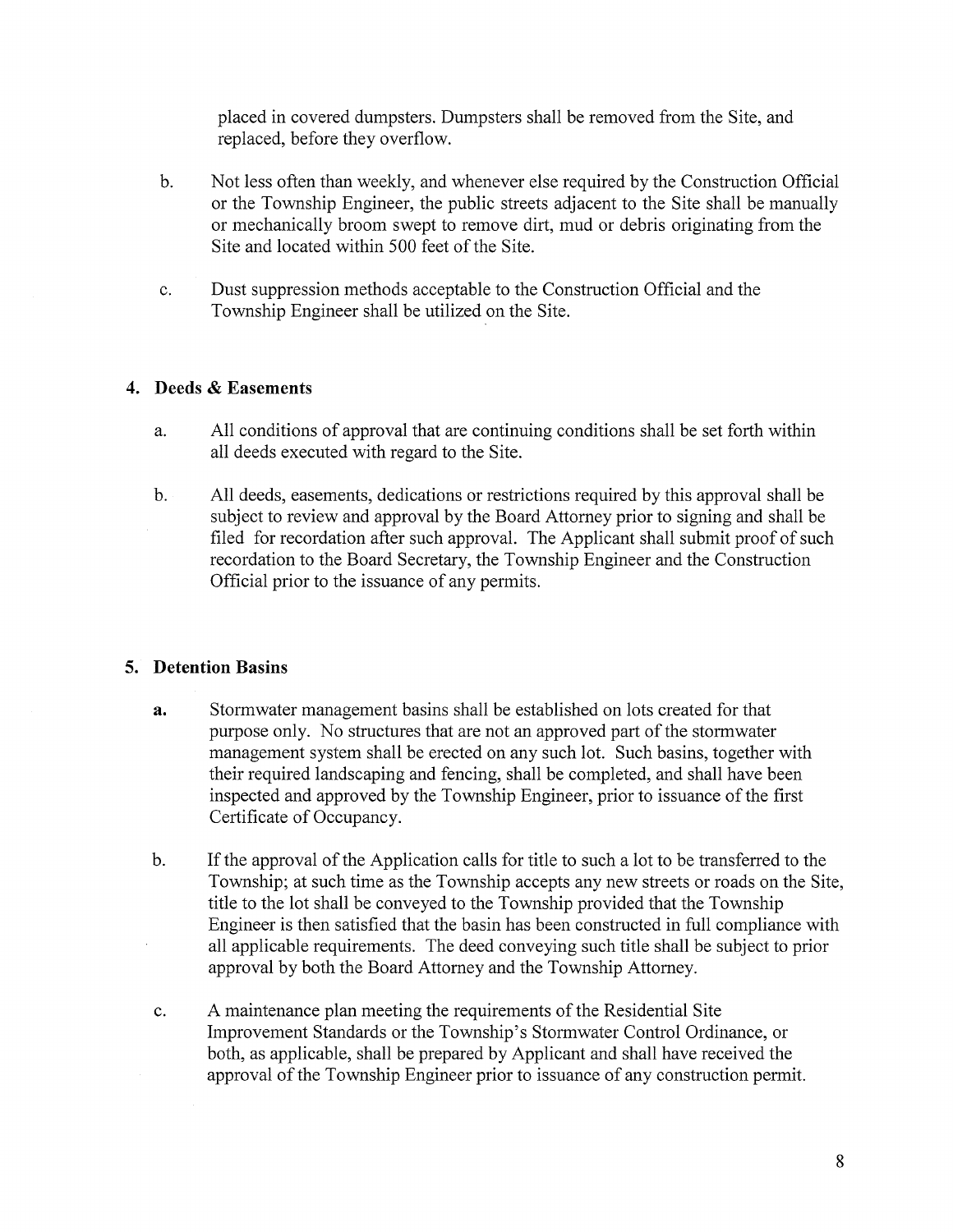placed in covered dumpsters. Dumpsters shall be removed from the Site, and replaced, before they overflow.

- b. Not less often than weekly, and whenever else required by the Construction Official or the Township Engineer, the public streets adjacent to the Site shall be manually or mechanically broom swept to remove dirt, mud or debris originating from the Site and located within 500 feet of the Site.
- c. Dust suppression methods acceptable to the Construction Official and the Township Engineer shall be utilized on the Site.

## 4. Deeds & Easements

- a. All conditions of approval that are continuing conditions shall be set forth within all deeds executed with regard to the Site.
- b. All deeds, easements, dedications or restrictions required by this approval shall be subject to review and approval by the Board Attorney prior to signing and shall be filed for recordation after such approval. The Applicant shall submit proof of such recordation to the Board Secretary, the Township Engineer and the Construction Official prior to the issuance of any permits.

# 5. Detention Basins

- a. Stormwater management basins shall be established on lots created for that purpose only. No structures that are not an approved part of the stormwater management system shall be erected on any such lot. Such basins, together with their required landscaping and fencing, shall be completed, and shall have been inspected and approved by the Township Engineer, prior to issuance of the first Certificate of Occupancy.
- b. If the approval of the Application calls for title to such <sup>a</sup> lot to be transferred to the Township; at such time as the Township accepts any new streets or roads on the Site, title to the lot shall be conveyed to the Township provided that the Township Engineer is then satisfied that the basin has been constructed in full compliance with all applicable requirements. The deed conveying such title shall be subject to prior approval by both the Board Attorney and the Township Attorney.
- c. A maintenance plan meeting the requirements of the Residential Site Improvement Standards or the Township's Stormwater Control Ordinance, or both, as applicable, shall be prepared by Applicant and shall have received the approval of the Township Engineer prior to issuance of any construction permit.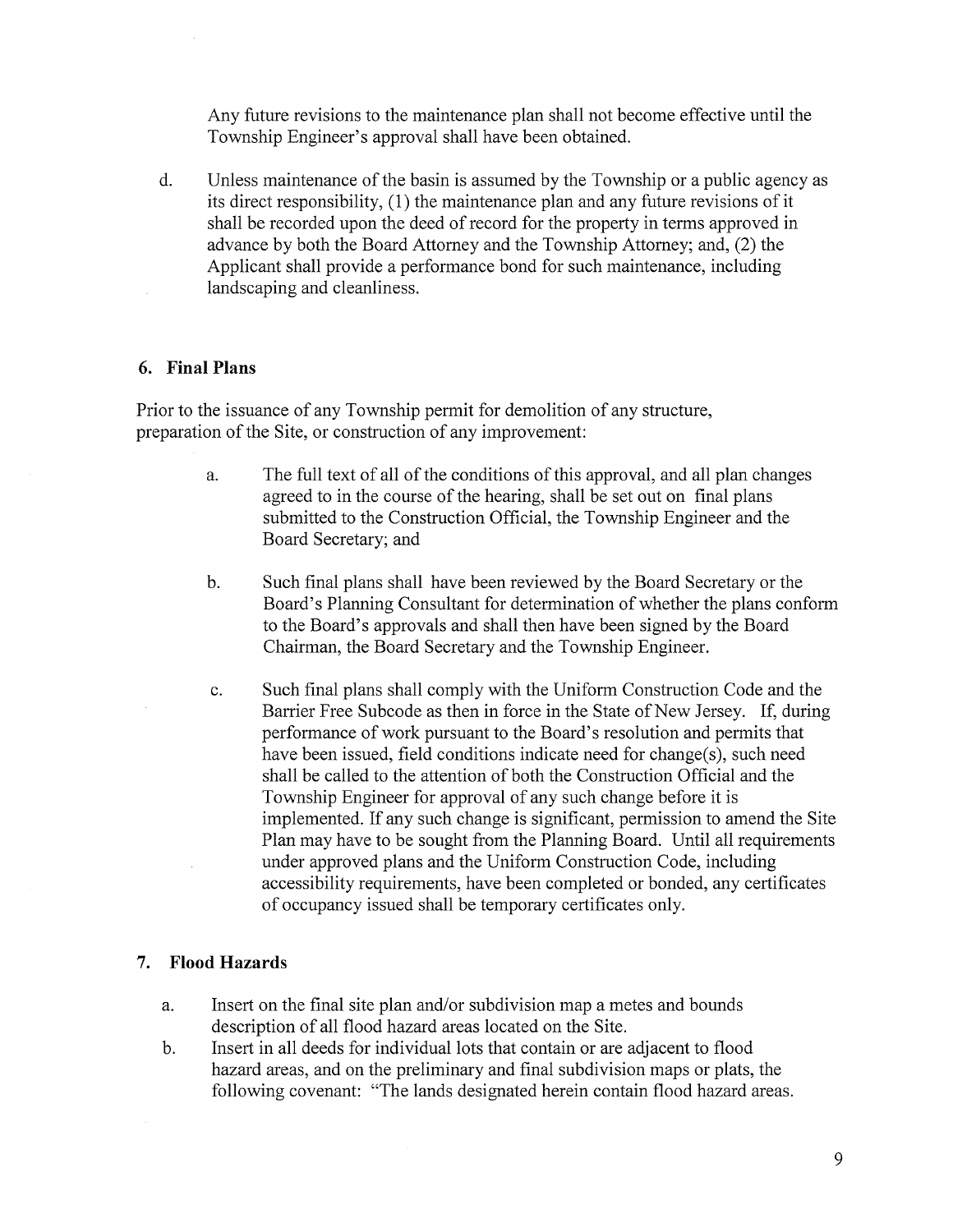Any future revisions to the maintenance plan shall not become effective until the Township Engineer's approval shall have been obtained.

d. Unless maintenance of the basin is assumed by the Township or <sup>a</sup> public agency as its direct responsibility, (1) the maintenance plan and any future revisions of it shall be recorded upon the deed of record for the property in terms approved in advance by both the Board Attorney and the Township Attorney; and, (2) the Applicant shall provide a performance bond for such maintenance, including landscaping and cleanliness.

#### 6. Final Plans

Prior to the issuance of any Township permit for demolition of any structure, preparation of the Site, or construction of any improvement:

- a. The full text of all of the conditions of this approval, and all plan changes agreed to in the course of the hearing, shall be set out on final plans submitted to the Construction Official, the Township Engineer and the Board Secretary; and
- b. Such final plans shall have been reviewed by the Board Secretary or the Board's Planning Consultant for determination of whether the plans conform to the Board's approvals and shall then have been signed by the Board Chairman, the Board Secretary and the Township Engineer.
- c. Such final plans shall comply with the Uniform Construction Code and the Barrier Free Subcode as then in force in the State of New Jersey. If, during performance of work pursuant to the Board's resolution and permits that have been issued, field conditions indicate need for change(s), such need shall be called to the attention of both the Construction Official and the Township Engineer for approval of any such change before it is implemented. If any such change is significant, permission to amend the Site Plan may have to be sought from the Planning Board. Until all requirements under approved plans and the Uniform Construction Code, including accessibility requirements, have been completed or bonded, any certificates of occupancy issued shall be temporary certificates only.

### 7. Flood Hazards

- a. Insert on the final site plan and/or subdivision map a metes and bounds description of all flood hazard areas located on the Site.
- b. Insert in all deeds for individual lots that contain or are adjacent to flood hazard areas, and on the preliminary and final subdivision maps or plats, the following covenant: "The lands designated herein contain flood hazard areas.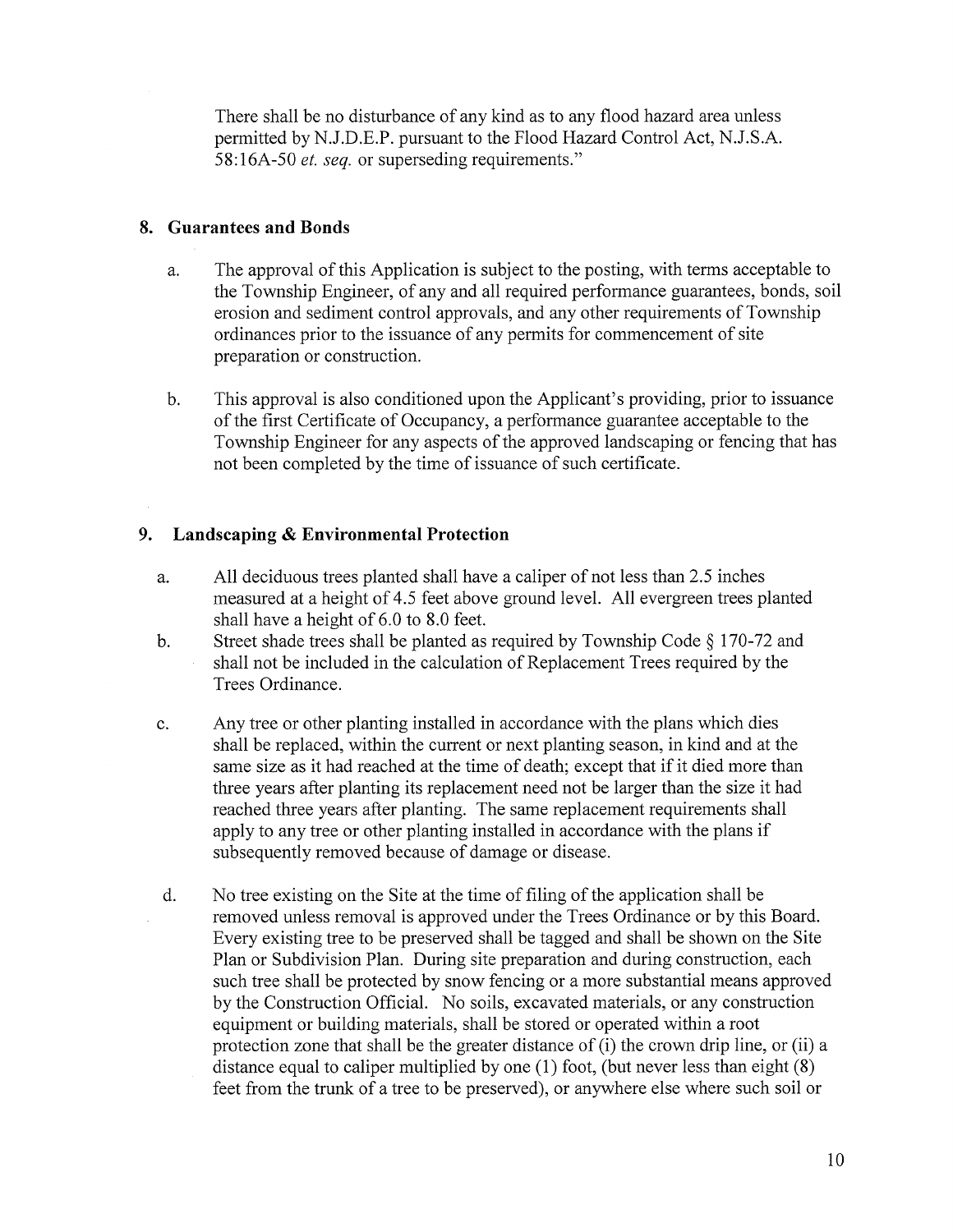There shall be no disturbance of any kind as to any flood hazard area unless permitted by N.J.D.E.P. pursuant to the Flood Hazard Control Act, N.J.S.A. 58:16A-50 *et. seq.* or superseding requirements."

## 8. Guarantees and Bonds

- a. The approval of this Application is subject to the posting, with terms acceptable to the Township Engineer, of any and all required performance guarantees, bonds, soil erosion and sediment control approvals, and any other requirements of Township ordinances prior to the issuance of any permits for commencement of site preparation or construction.
- b. This approval is also conditioned upon the Applicant's providing, prior to issuance of the first Certificate of Occupancy, <sup>a</sup> performance guarantee acceptable to the Township Engineer for any aspects of the approved landscaping or fencing that has not been completed by the time of issuance of such certificate.

## 9. Landscaping & Environmental Protection

- a. All deciduous trees planted shall have <sup>a</sup> caliper of not less than 2.5 inches measured at <sup>a</sup> height of 4.5 feet above ground level. All evergreen trees planted shall have <sup>a</sup> height of 6.0 to 8.0 feet.
- b. Street shade trees shall be planted as required by Township Code § 170-72 and shall not be included in the calculation of Replacement Trees required by the Trees Ordinance.
- c. Any tree or other planting installed in accordance with the plans which dies shall be replaced, within the current or next planting season, in kind and at the same size as it had reached at the time of death; except that if it died more than three years after planting its replacement need not be larger than the size it had reached three years after planting. The same replacement requirements shall apply to any tree or other planting installed in accordance with the plans if subsequently removed because of damage or disease.
- d. No tree existing on the Site at the time of filing of the application shall be removed unless removal is approved under the Trees Ordinance or by this Board. Every existing tree to be preserved shall be tagged and shall be shown on the Site Plan or Subdivision Plan. During site preparation and during construction, each such tree shall be protected by snow fencing or a more substantial means approved by the Construction Official. No soils, excavated materials, or any construction equipment or building materials, shall be stored or operated within a root protection zone that shall be the greater distance of (i) the crown drip line, or (ii) a distance equal to caliper multiplied by one (1) foot, (but never less than eight (8) feet from the trunk of <sup>a</sup> tree to be preserved), or anywhere else where such soil or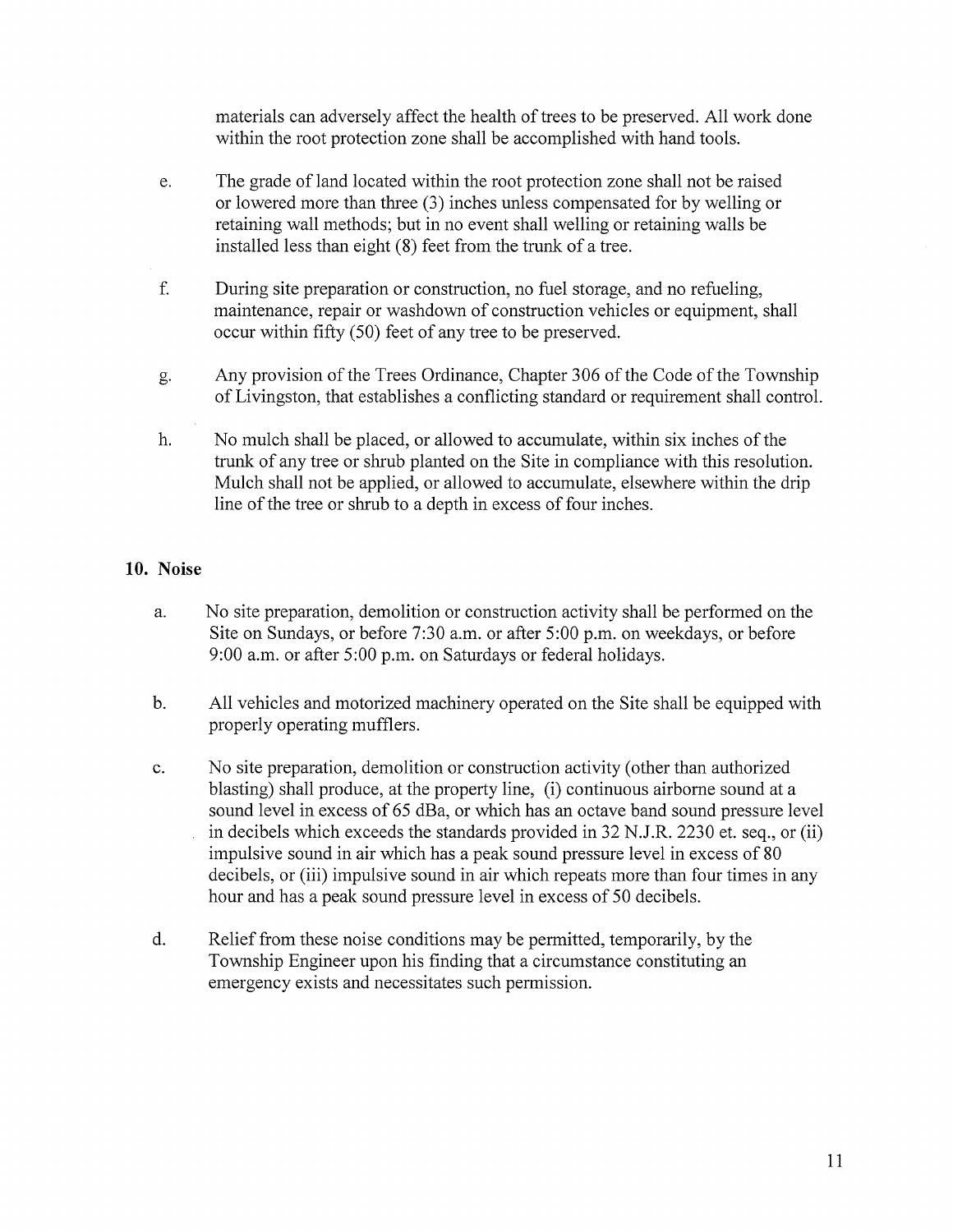materials can adversely affect the health of trees to be preserved. All work done within the root protection zone shall be accomplished with hand tools.

- e. The grade of land located within the root protection zone shall not be raised or lowered more than three (3) inches unless compensated for by welling or retaining wall methods; but in no event shall welling or retaining walls be installed less than eight (8) feet from the trunk of a tree.
- f. During site preparation or construction, no fuel storage, and no refueling, maintenance, repair or washdown of construction vehicles or equipment, shall occur within fifty (50) feet of any tree to be preserved.
- g. Any provision of the Trees Ordinance, Chapter 306 of the Code of the Township of Livingston, that establishes <sup>a</sup> conflicting standard or requirement shall control.
- h. No mulch shall be placed, or allowed to accumulate, within six inches of the trunk of any tree or shrub planted on the Site in compliance with this resolution. Mulch shall not be applied, or allowed to accumulate, elsewhere within the drip line of the tree or shrub to <sup>a</sup> depth in excess of four inches.

# 10. Noise

- a. No site preparation, demolition or construction activity shall be performed on the Site on Sundays, or before 7:30 a.m. or after 5:00 p.m. on weekdays, or before 9:00 a.m. or after 5:00 p.m. on Saturdays or federal holidays.
- b. All vehicles and motorized machinery operated on the Site shall be equipped with properly operating mufflers.
- c. No site preparation, demolition or construction activity (other than authorized blasting) shall produce, at the property line, (i) continuous airborne sound at a sound level in excess of 65 dBa, or which has an octave band sound pressure level in decibels which exceeds the standards provided in 32 N.J.R. 2230 et. seq., or (ii) impulsive sound in air which has <sup>a</sup> peak sound pressure level in excess of 80 decibels, or (iii) impulsive sound in air which repeats more than four times in any hour and has <sup>a</sup> peak sound pressure level in excess of 50 decibels.
- d. Relief from these noise conditions may be permitted, temporarily, by the Township Engineer upon his finding that a circumstance constituting an emergency exists and necessitates such permission.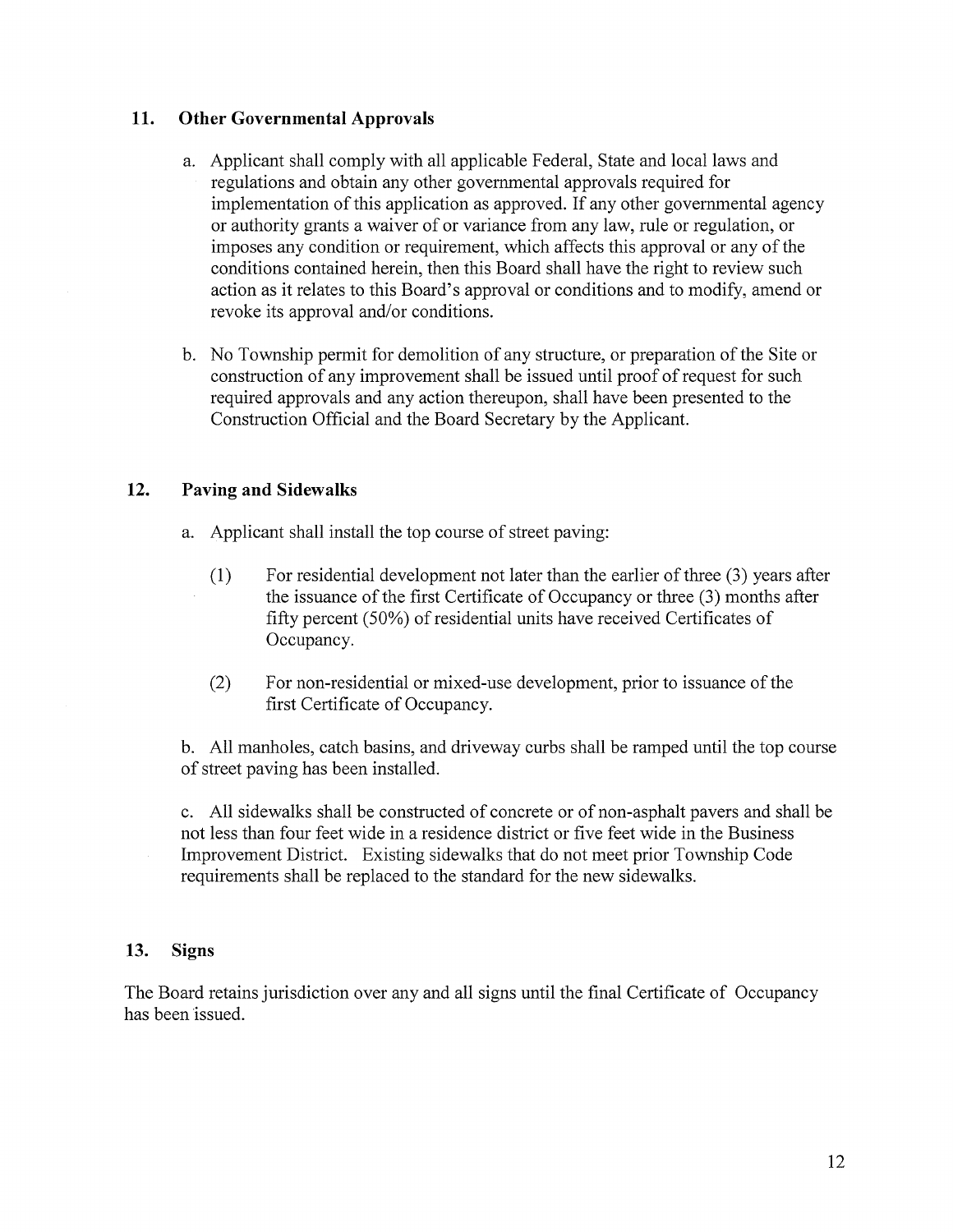## 11. Other Governmental Approvals

- a. Applicant shall comply with all applicable Federal, State and local laws and regulations and obtain any other governmental approvals required for implementation of this application as approved. If any other governmental agency or authority grants <sup>a</sup> waiver of or variance from any law, rule or regulation, or imposes any condition or requirement, which affects this approval or any of the conditions contained herein, then this Board shall have the right to review such action as it relates to this Board's approval or conditions and to modify, amend or revoke its approval and/or conditions.
- b. No Township permit for demolition of any structure, or preparation of the Site or construction of any improvement shall be issued until proof of request for such required approvals and any action thereupon, shall have been presented to the Construction Official and the Board Secretary by the Applicant.

## 12. Paving and Sidewalks

- a. Applicant shall install the top course of street paving:
	- (1) For residential development not later than the earlier of three (3) years after the issuance of the first Certificate of Occupancy or three (3) months after fifty percent  $(50\%)$  of residential units have received Certificates of Occupancy.
	- (2) For non-residential or mixed-use development, prior to issuance of the first Certificate of Occupancy.

b. All manholes, catch basins, and driveway curbs shall be ramped until the top course of street paving has been installed.

c. All sidewalks shall be constructed of concrete or of non-asphalt payers and shall be not less than four feet wide in a residence district or five feet wide in the Business Improvement District. Existing sidewalks that do not meet prior Township Code requirements shall be replaced to the standard for the new sidewalks.

### 13. Signs

The Board retains jurisdiction over any and all signs until the final Certificate of Occupancy has been issued.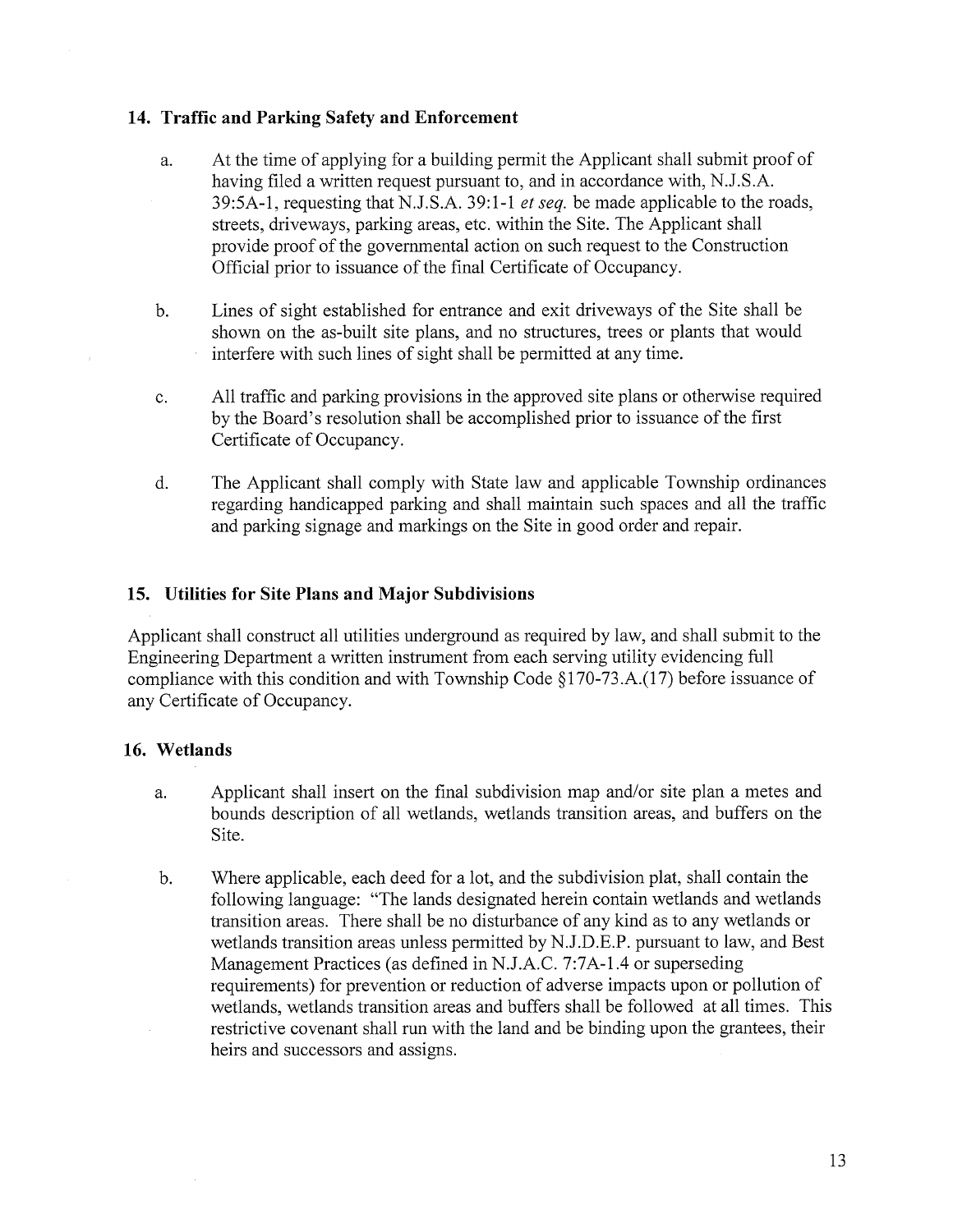## 14. Traffic and Parking Safety and Enforcement

- a. At the time of applying for <sup>a</sup> building permit the Applicant shall submit proof of having filed a written request pursuant to, and in accordance with, N.J.S.A. 39:5A-1, requesting that N.J.S.A. 39:1-1 et seq. be made applicable to the roads, streets, driveways, parking areas, etc. within the Site. The Applicant shall provide proof of the governmental action on such request to the Construction Official prior to issuance of the final Certificate of Occupancy.
- b. Lines of sight established for entrance and exit driveways of the Site shall be shown on the as-built site plans, and no structures, trees or plants that would interfere with such lines of sight shall be permitted at any time.
- c. All traffic and parking provisions in the approved site plans or otherwise required by the Board's resolution shall be accomplished prior to issuance of the first Certificate of Occupancy.
- d. The Applicant shall comply with State law and applicable Township ordinances regarding handicapped parking and shall maintain such spaces and all the traffic and parking signage and markings on the Site in good order and repair.

# 15. Utilities for Site Plans and Major Subdivisions

Applicant shall construct all utilities underground as required by law, and shall submit to the Engineering Department a written instrument from each serving utility evidencing full compliance with this condition and with Township Code §170-73.A.(17) before issuance of any Certificate of Occupancy.

### 16. Wetlands

- a. Applicant shall insert on the final subdivision map and/or site plan a metes and bounds description of all wetlands, wetlands transition areas, and buffers on the Site.
- b. Where applicable, each deed for a lot, and the subdivision plat, shall contain the following language: "The lands designated herein contain wetlands and wetlands transition areas. There shall be no disturbance of any kind as to any wetlands or wetlands transition areas unless permitted by N.J.D.E.P. pursuant to law, and Best Management Practices (as defined in N.J.A.C. 7:7A-1 .4 or superseding requirements) for prevention or reduction of adverse impacts upon or pollution of wetlands, wetlands transition areas and buffers shall be followed at all times. This restrictive covenant shall run with the land and be binding upon the grantees, their heirs and successors and assigns.